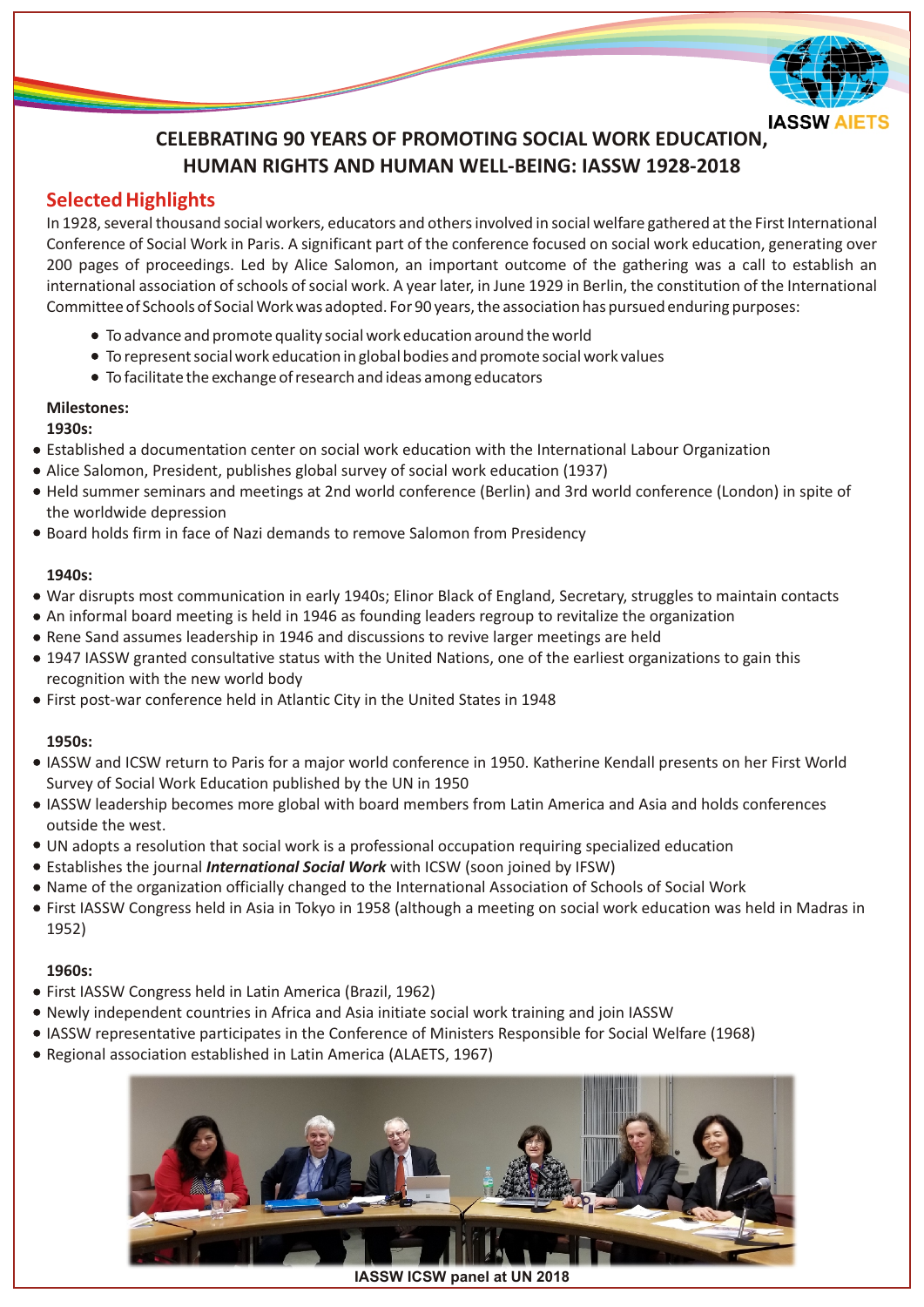

# **CELEBRATING 90 YEARS OF PROMOTING SOCIAL WORK EDUCATION, HUMAN RIGHTS AND HUMAN WELL-BEING: IASSW 1928-2018**

## **Selected Highlights**

In 1928, several thousand social workers, educators and others involved in social welfare gathered at the First International Conference of Social Work in Paris. A significant part of the conference focused on social work education, generating over 200 pages of proceedings. Led by Alice Salomon, an important outcome of the gathering was a call to establish an international association of schools of social work. A year later, in June 1929 in Berlin, the constitution of the International Committee of Schools of Social Work was adopted. For 90 years, the association has pursued enduring purposes:

- To advance and promote quality social work education around the world
- To represent social work education in global bodies and promote social work values
- To facilitate the exchange of research and ideas among educators

## **Milestones:**

### **1930s:**

- Established a documentation center on social work education with the International Labour Organization
- Alice Salomon, President, publishes global survey of social work education (1937)
- Held summer seminars and meetings at 2nd world conference (Berlin) and 3rd world conference (London) in spite of the worldwide depression
- Board holds firm in face of Nazi demands to remove Salomon from Presidency

## **1940s:**

- War disrupts most communication in early 1940s; Elinor Black of England, Secretary, struggles to maintain contacts
- An informal board meeting is held in 1946 as founding leaders regroup to revitalize the organization
- Rene Sand assumes leadership in 1946 and discussions to revive larger meetings are held
- 1947 IASSW granted consultative status with the United Nations, one of the earliest organizations to gain this recognition with the new world body
- First post-war conference held in Atlantic City in the United States in 1948

### **1950s:**

- IASSW and ICSW return to Paris for a major world conference in 1950. Katherine Kendall presents on her First World Survey of Social Work Education published by the UN in 1950
- IASSW leadership becomes more global with board members from Latin America and Asia and holds conferences outside the west.
- UN adopts a resolution that social work is a professional occupation requiring specialized education
- Establishes the journal *International Social Work* with ICSW (soon joined by IFSW)
- Name of the organization officially changed to the International Association of Schools of Social Work
- First IASSW Congress held in Asia in Tokyo in 1958 (although a meeting on social work education was held in Madras in 1952)

### **1960s:**

- First IASSW Congress held in Latin America (Brazil, 1962)
- Newly independent countries in Africa and Asia initiate social work training and join IASSW
- IASSW representative participates in the Conference of Ministers Responsible for Social Welfare (1968)
- Regional association established in Latin America (ALAETS, 1967)



**IASSW ICSW panel at UN 2018**